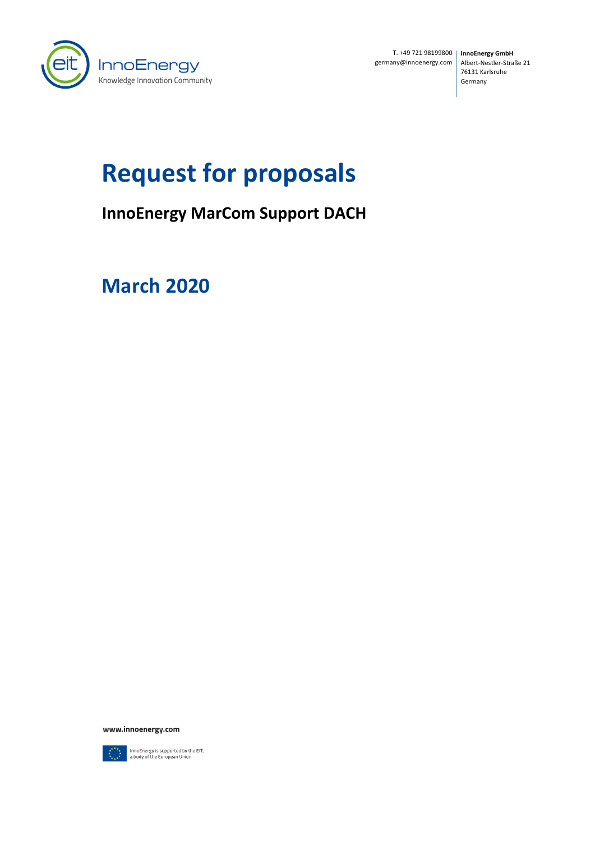

T. +49 721 98199800 **InnoEnergy GmbH** germany@innoenergy.com

Albert-Nestler-Straße 21 76131 Karlsruhe Germany

# **Request for proposals**

# **InnoEnergy MarCom Support DACH**

**March 2020**

www.innoenergy.com



InnoEnergy is supported by the EIT,<br>a body of the European Union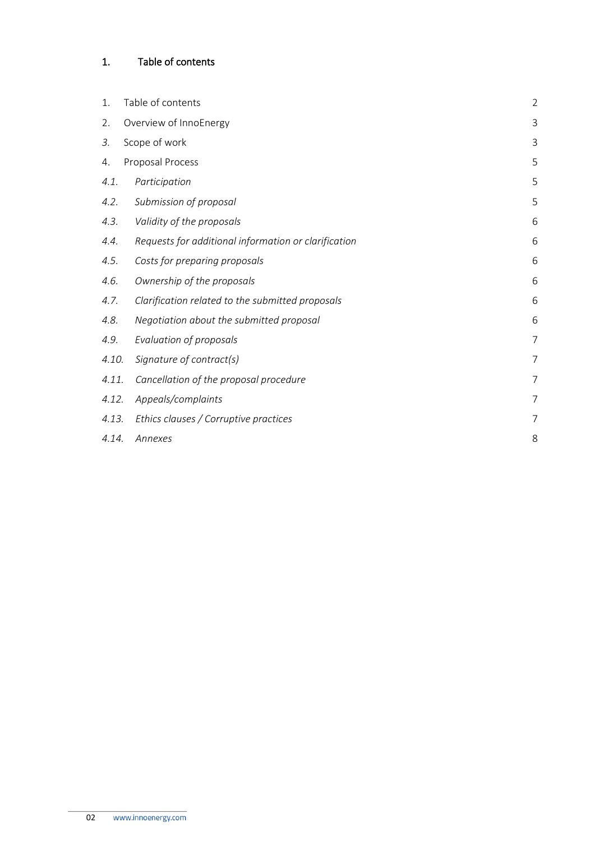# <span id="page-1-0"></span>1. Table of contents

| 1.    | Table of contents                                    | $\overline{2}$ |
|-------|------------------------------------------------------|----------------|
| 2.    | Overview of InnoEnergy                               | 3              |
| 3.    | Scope of work                                        | 3              |
| 4.    | Proposal Process                                     | 5              |
| 4.1.  | Participation                                        | 5              |
| 4.2.  | Submission of proposal                               | 5              |
| 4.3.  | Validity of the proposals                            | 6              |
| 4.4.  | Requests for additional information or clarification | 6              |
| 4.5.  | Costs for preparing proposals                        | 6              |
| 4.6.  | Ownership of the proposals                           | 6              |
| 4.7.  | Clarification related to the submitted proposals     | 6              |
| 4.8.  | Negotiation about the submitted proposal             | 6              |
| 4.9.  | Evaluation of proposals                              | $\overline{7}$ |
| 4.10. | Signature of contract(s)                             | $\overline{7}$ |
| 4.11. | Cancellation of the proposal procedure               | 7              |
| 4.12. | Appeals/complaints                                   | $\overline{7}$ |
| 4.13. | Ethics clauses / Corruptive practices                | 7              |
| 4.14. | Annexes                                              | 8              |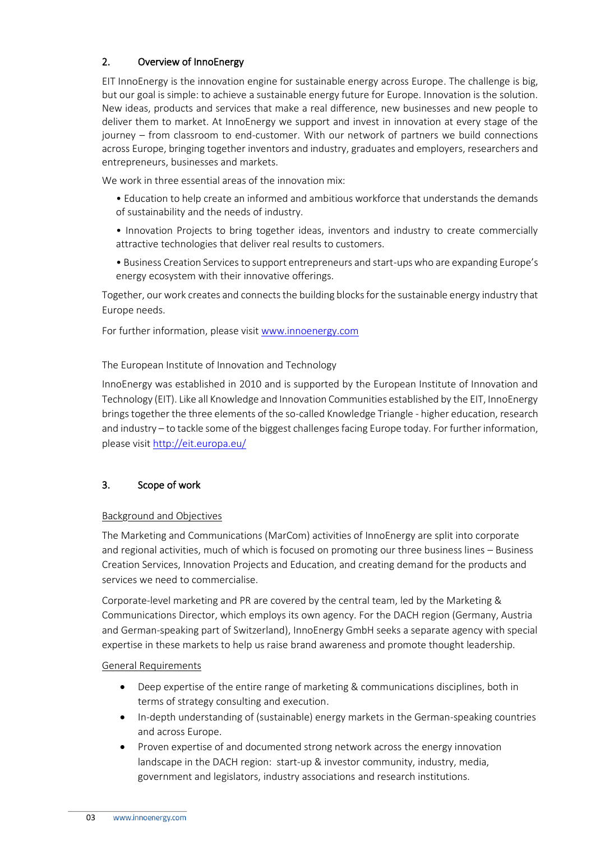# <span id="page-2-0"></span>2. Overview of InnoEnergy

EIT InnoEnergy is the innovation engine for sustainable energy across Europe. The challenge is big, but our goal is simple: to achieve a sustainable energy future for Europe. Innovation is the solution. New ideas, products and services that make a real difference, new businesses and new people to deliver them to market. At InnoEnergy we support and invest in innovation at every stage of the journey – from classroom to end-customer. With our network of partners we build connections across Europe, bringing together inventors and industry, graduates and employers, researchers and entrepreneurs, businesses and markets.

We work in three essential areas of the innovation mix:

- Education to help create an informed and ambitious workforce that understands the demands of sustainability and the needs of industry.
- Innovation Projects to bring together ideas, inventors and industry to create commercially attractive technologies that deliver real results to customers.
- Business Creation Services to support entrepreneurs and start-ups who are expanding Europe's energy ecosystem with their innovative offerings.

Together, our work creates and connects the building blocks for the sustainable energy industry that Europe needs.

For further information, please visit [www.innoenergy.com](http://www.innoenergy.com/)

The European Institute of Innovation and Technology

InnoEnergy was established in 2010 and is supported by the European Institute of Innovation and Technology (EIT). Like all Knowledge and Innovation Communities established by the EIT, InnoEnergy brings together the three elements of the so-called Knowledge Triangle - higher education, research and industry – to tackle some of the biggest challenges facing Europe today. For further information, please visit<http://eit.europa.eu/>

#### <span id="page-2-1"></span>3. Scope of work

#### Background and Objectives

The Marketing and Communications (MarCom) activities of InnoEnergy are split into corporate and regional activities, much of which is focused on promoting our three business lines – Business Creation Services, Innovation Projects and Education, and creating demand for the products and services we need to commercialise.

Corporate-level marketing and PR are covered by the central team, led by the Marketing & Communications Director, which employs its own agency. For the DACH region (Germany, Austria and German-speaking part of Switzerland), InnoEnergy GmbH seeks a separate agency with special expertise in these markets to help us raise brand awareness and promote thought leadership.

#### General Requirements

- Deep expertise of the entire range of marketing & communications disciplines, both in terms of strategy consulting and execution.
- In-depth understanding of (sustainable) energy markets in the German-speaking countries and across Europe.
- Proven expertise of and documented strong network across the energy innovation landscape in the DACH region: start-up & investor community, industry, media, government and legislators, industry associations and research institutions.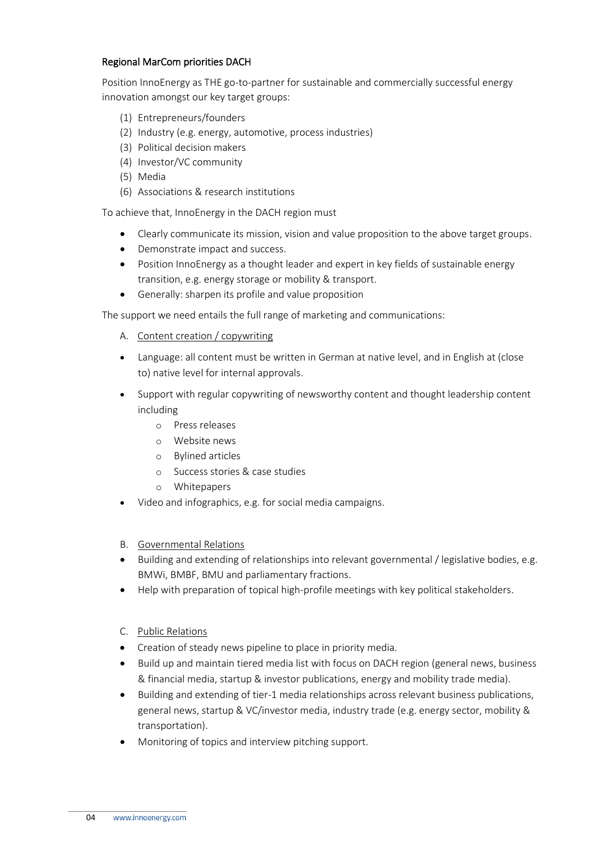#### Regional MarCom priorities DACH

Position InnoEnergy as THE go-to-partner for sustainable and commercially successful energy innovation amongst our key target groups:

- (1) Entrepreneurs/founders
- (2) Industry (e.g. energy, automotive, process industries)
- (3) Political decision makers
- (4) Investor/VC community
- (5) Media
- (6) Associations & research institutions

To achieve that, InnoEnergy in the DACH region must

- Clearly communicate its mission, vision and value proposition to the above target groups.
- Demonstrate impact and success.
- Position InnoEnergy as a thought leader and expert in key fields of sustainable energy transition, e.g. energy storage or mobility & transport.
- Generally: sharpen its profile and value proposition

The support we need entails the full range of marketing and communications:

- A. Content creation / copywriting
- Language: all content must be written in German at native level, and in English at (close to) native level for internal approvals.
- Support with regular copywriting of newsworthy content and thought leadership content including
	- o Press releases
	- o Website news
	- o Bylined articles
	- o Success stories & case studies
	- o Whitepapers
- Video and infographics, e.g. for social media campaigns.
- B. Governmental Relations
- Building and extending of relationships into relevant governmental / legislative bodies, e.g. BMWi, BMBF, BMU and parliamentary fractions.
- Help with preparation of topical high-profile meetings with key political stakeholders.
- C. Public Relations
- Creation of steady news pipeline to place in priority media.
- Build up and maintain tiered media list with focus on DACH region (general news, business & financial media, startup & investor publications, energy and mobility trade media).
- Building and extending of tier-1 media relationships across relevant business publications, general news, startup & VC/investor media, industry trade (e.g. energy sector, mobility & transportation).
- Monitoring of topics and interview pitching support.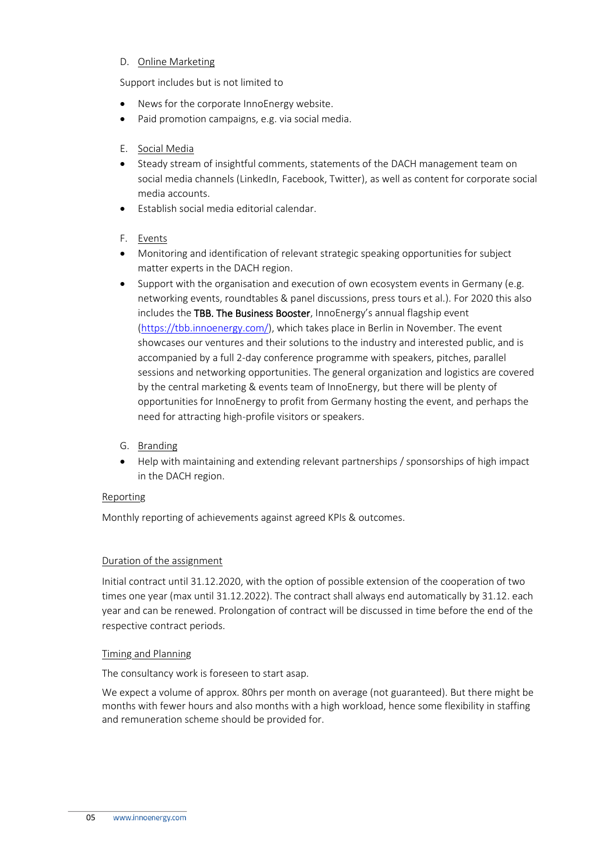#### D. Online Marketing

Support includes but is not limited to

- News for the corporate InnoEnergy website.
- Paid promotion campaigns, e.g. via social media.

#### E. Social Media

- Steady stream of insightful comments, statements of the DACH management team on social media channels (LinkedIn, Facebook, Twitter), as well as content for corporate social media accounts.
- Establish social media editorial calendar.
- F. Events
- Monitoring and identification of relevant strategic speaking opportunities for subject matter experts in the DACH region.
- Support with the organisation and execution of own ecosystem events in Germany (e.g. networking events, roundtables & panel discussions, press tours et al.). For 2020 this also includes the TBB. The Business Booster, InnoEnergy's annual flagship event [\(https://tbb.innoenergy.com/\)](https://tbb.innoenergy.com/), which takes place in Berlin in November. The event showcases our ventures and their solutions to the industry and interested public, and is accompanied by a full 2-day conference programme with speakers, pitches, parallel sessions and networking opportunities. The general organization and logistics are covered by the central marketing & events team of InnoEnergy, but there will be plenty of opportunities for InnoEnergy to profit from Germany hosting the event, and perhaps the need for attracting high-profile visitors or speakers.
- G. Branding
- Help with maintaining and extending relevant partnerships / sponsorships of high impact in the DACH region.

#### Reporting

Monthly reporting of achievements against agreed KPIs & outcomes.

#### Duration of the assignment

Initial contract until 31.12.2020, with the option of possible extension of the cooperation of two times one year (max until 31.12.2022). The contract shall always end automatically by 31.12. each year and can be renewed. Prolongation of contract will be discussed in time before the end of the respective contract periods.

#### Timing and Planning

The consultancy work is foreseen to start asap.

We expect a volume of approx. 80hrs per month on average (not guaranteed). But there might be months with fewer hours and also months with a high workload, hence some flexibility in staffing and remuneration scheme should be provided for.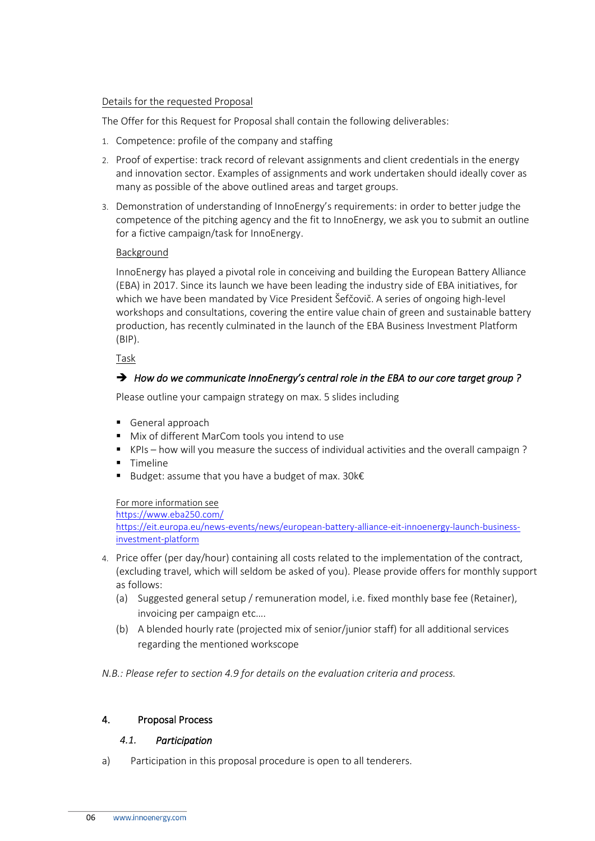#### Details for the requested Proposal

The Offer for this Request for Proposal shall contain the following deliverables:

- 1. Competence: profile of the company and staffing
- 2. Proof of expertise: track record of relevant assignments and client credentials in the energy and innovation sector. Examples of assignments and work undertaken should ideally cover as many as possible of the above outlined areas and target groups.
- 3. Demonstration of understanding of InnoEnergy's requirements: in order to better judge the competence of the pitching agency and the fit to InnoEnergy, we ask you to submit an outline for a fictive campaign/task for InnoEnergy.

#### Background

InnoEnergy has played a pivotal role in conceiving and building the European Battery Alliance (EBA) in 2017. Since its launch we have been leading the industry side of EBA initiatives, for which we have been mandated by Vice President Šefčovič. A series of ongoing high-level workshops and consultations, covering the entire value chain of green and sustainable battery production, has recently culminated in the launch of the EBA Business Investment Platform (BIP).

Task

# ➔ *How do we communicate InnoEnergy's central role in the EBA to our core target group ?*

Please outline your campaign strategy on max. 5 slides including

- General approach
- Mix of different MarCom tools you intend to use
- KPIs how will you measure the success of individual activities and the overall campaign ?
- Timeline
- Budget: assume that you have a budget of max. 30 $k \in \mathbb{R}$

#### For more information see

<https://www.eba250.com/> [https://eit.europa.eu/news-events/news/european-battery-alliance-eit-innoenergy-launch-business](https://eit.europa.eu/news-events/news/european-battery-alliance-eit-innoenergy-launch-business-investment-platform)[investment-platform](https://eit.europa.eu/news-events/news/european-battery-alliance-eit-innoenergy-launch-business-investment-platform)

- 4. Price offer (per day/hour) containing all costs related to the implementation of the contract, (excluding travel, which will seldom be asked of you). Please provide offers for monthly support as follows:
	- (a) Suggested general setup / remuneration model, i.e. fixed monthly base fee (Retainer), invoicing per campaign etc….
	- (b) A blended hourly rate (projected mix of senior/junior staff) for all additional services regarding the mentioned workscope

*N.B.: Please refer to section 4.9 for details on the evaluation criteria and process.*

#### <span id="page-5-1"></span><span id="page-5-0"></span>4. Proposal Process

#### *4.1. Participation*

a) Participation in this proposal procedure is open to all tenderers.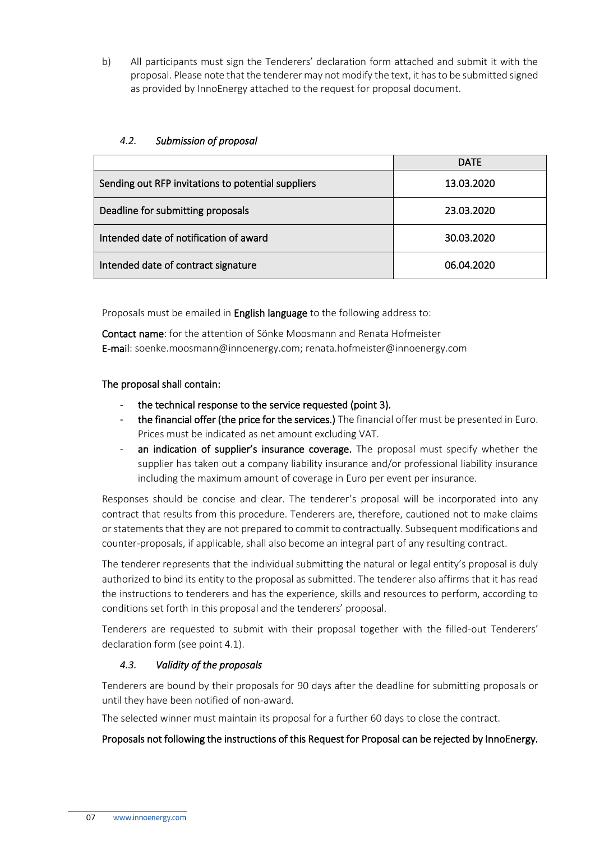b) All participants must sign the Tenderers' declaration form attached and submit it with the proposal. Please note that the tenderer may not modify the text, it has to be submitted signed as provided by InnoEnergy attached to the request for proposal document.

# <span id="page-6-0"></span>*4.2. Submission of proposal*

|                                                    | <b>DATE</b> |
|----------------------------------------------------|-------------|
| Sending out RFP invitations to potential suppliers | 13.03.2020  |
| Deadline for submitting proposals                  | 23.03.2020  |
| Intended date of notification of award             | 30.03.2020  |
| Intended date of contract signature                | 06.04.2020  |

Proposals must be emailed in **English language** to the following address to:

Contact name: for the attention of Sönke Moosmann and Renata Hofmeister E-mail: soenke.moosmann@innoenergy.com; renata.hofmeister@innoenergy.com

#### The proposal shall contain:

- the technical response to the service requested (point 3).
- the financial offer (the price for the services.) The financial offer must be presented in Euro. Prices must be indicated as net amount excluding VAT.
- an indication of supplier's insurance coverage. The proposal must specify whether the supplier has taken out a company liability insurance and/or professional liability insurance including the maximum amount of coverage in Euro per event per insurance.

Responses should be concise and clear. The tenderer's proposal will be incorporated into any contract that results from this procedure. Tenderers are, therefore, cautioned not to make claims or statements that they are not prepared to commit to contractually. Subsequent modifications and counter-proposals, if applicable, shall also become an integral part of any resulting contract.

The tenderer represents that the individual submitting the natural or legal entity's proposal is duly authorized to bind its entity to the proposal as submitted. The tenderer also affirms that it has read the instructions to tenderers and has the experience, skills and resources to perform, according to conditions set forth in this proposal and the tenderers' proposal.

Tenderers are requested to submit with their proposal together with the filled-out Tenderers' declaration form (see point 4.1).

#### <span id="page-6-1"></span>*4.3. Validity of the proposals*

Tenderers are bound by their proposals for 90 days after the deadline for submitting proposals or until they have been notified of non-award.

The selected winner must maintain its proposal for a further 60 days to close the contract.

#### Proposals not following the instructions of this Request for Proposal can be rejected by InnoEnergy.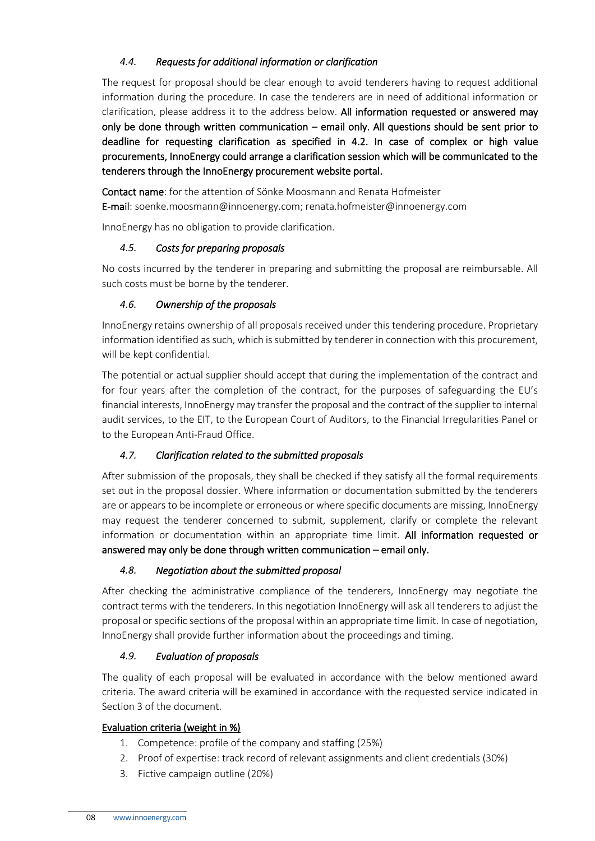# <span id="page-7-0"></span>*4.4. Requests for additional information or clarification*

The request for proposal should be clear enough to avoid tenderers having to request additional information during the procedure. In case the tenderers are in need of additional information or clarification, please address it to the address below. All information requested or answered may only be done through written communication – email only. All questions should be sent prior to deadline for requesting clarification as specified in 4.2. In case of complex or high value procurements, InnoEnergy could arrange a clarification session which will be communicated to the tenderers through the InnoEnergy procurement website portal.

Contact name: for the attention of Sönke Moosmann and Renata Hofmeister E-mail: soenke.moosmann@innoenergy.com; renata.hofmeister@innoenergy.com

InnoEnergy has no obligation to provide clarification.

#### <span id="page-7-1"></span>*4.5. Costs for preparing proposals*

No costs incurred by the tenderer in preparing and submitting the proposal are reimbursable. All such costs must be borne by the tenderer.

# <span id="page-7-2"></span>*4.6. Ownership of the proposals*

InnoEnergy retains ownership of all proposals received under this tendering procedure. Proprietary information identified as such, which is submitted by tenderer in connection with this procurement, will be kept confidential.

The potential or actual supplier should accept that during the implementation of the contract and for four years after the completion of the contract, for the purposes of safeguarding the EU's financial interests, InnoEnergy may transfer the proposal and the contract of the supplier to internal audit services, to the EIT, to the European Court of Auditors, to the Financial Irregularities Panel or to the European Anti-Fraud Office.

# <span id="page-7-3"></span>*4.7. Clarification related to the submitted proposals*

After submission of the proposals, they shall be checked if they satisfy all the formal requirements set out in the proposal dossier. Where information or documentation submitted by the tenderers are or appears to be incomplete or erroneous or where specific documents are missing, InnoEnergy may request the tenderer concerned to submit, supplement, clarify or complete the relevant information or documentation within an appropriate time limit. All information requested or answered may only be done through written communication – email only.

#### <span id="page-7-4"></span>*4.8. Negotiation about the submitted proposal*

After checking the administrative compliance of the tenderers, InnoEnergy may negotiate the contract terms with the tenderers. In this negotiation InnoEnergy will ask all tenderers to adjust the proposal or specific sections of the proposal within an appropriate time limit. In case of negotiation, InnoEnergy shall provide further information about the proceedings and timing.

# <span id="page-7-5"></span>*4.9. Evaluation of proposals*

The quality of each proposal will be evaluated in accordance with the below mentioned award criteria. The award criteria will be examined in accordance with the requested service indicated in Section 3 of the document.

#### Evaluation criteria (weight in %)

- 1. Competence: profile of the company and staffing (25%)
- 2. Proof of expertise: track record of relevant assignments and client credentials (30%)
- 3. Fictive campaign outline (20%)